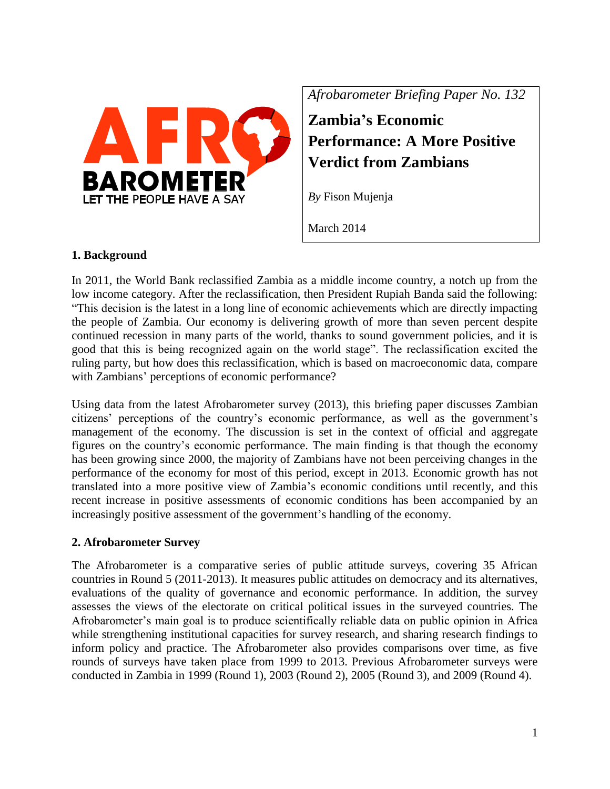

*Afrobarometer Briefing Paper No. 132*

**Zambia's Economic Performance: A More Positive Verdict from Zambians**

*By* Fison Mujenja

March 2014

#### **1. Background**

In 2011, the World Bank reclassified Zambia as a middle income country, a notch up from the low income category. After the reclassification, then President Rupiah Banda said the following: "This decision is the latest in a long line of economic achievements which are directly impacting the people of Zambia. Our economy is delivering growth of more than seven percent despite continued recession in many parts of the world, thanks to sound government policies, and it is good that this is being recognized again on the world stage". The reclassification excited the ruling party, but how does this reclassification, which is based on macroeconomic data, compare with Zambians' perceptions of economic performance?

Using data from the latest Afrobarometer survey (2013), this briefing paper discusses Zambian citizens' perceptions of the country's economic performance, as well as the government's management of the economy. The discussion is set in the context of official and aggregate figures on the country's economic performance. The main finding is that though the economy has been growing since 2000, the majority of Zambians have not been perceiving changes in the performance of the economy for most of this period, except in 2013. Economic growth has not translated into a more positive view of Zambia's economic conditions until recently, and this recent increase in positive assessments of economic conditions has been accompanied by an increasingly positive assessment of the government's handling of the economy.

## **2. Afrobarometer Survey**

The Afrobarometer is a comparative series of public attitude surveys, covering 35 African countries in Round 5 (2011-2013). It measures public attitudes on democracy and its alternatives, evaluations of the quality of governance and economic performance. In addition, the survey assesses the views of the electorate on critical political issues in the surveyed countries. The Afrobarometer's main goal is to produce scientifically reliable data on public opinion in Africa while strengthening institutional capacities for survey research, and sharing research findings to inform policy and practice. The Afrobarometer also provides comparisons over time, as five rounds of surveys have taken place from 1999 to 2013. Previous Afrobarometer surveys were conducted in Zambia in 1999 (Round 1), 2003 (Round 2), 2005 (Round 3), and 2009 (Round 4).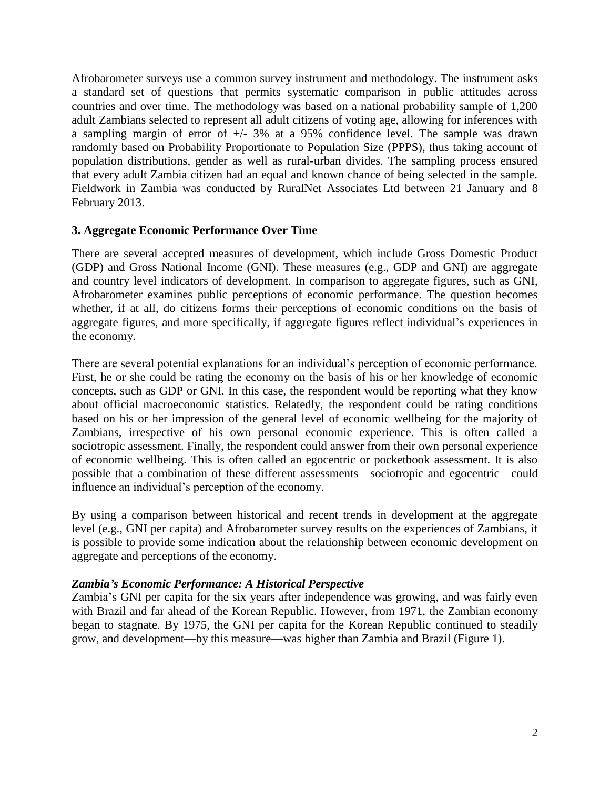Afrobarometer surveys use a common survey instrument and methodology. The instrument asks a standard set of questions that permits systematic comparison in public attitudes across countries and over time. The methodology was based on a national probability sample of 1,200 adult Zambians selected to represent all adult citizens of voting age, allowing for inferences with a sampling margin of error of  $\pm$ /- 3% at a 95% confidence level. The sample was drawn randomly based on Probability Proportionate to Population Size (PPPS), thus taking account of population distributions, gender as well as rural-urban divides. The sampling process ensured that every adult Zambia citizen had an equal and known chance of being selected in the sample. Fieldwork in Zambia was conducted by RuralNet Associates Ltd between 21 January and 8 February 2013.

#### **3. Aggregate Economic Performance Over Time**

There are several accepted measures of development, which include Gross Domestic Product (GDP) and Gross National Income (GNI). These measures (e.g., GDP and GNI) are aggregate and country level indicators of development. In comparison to aggregate figures, such as GNI, Afrobarometer examines public perceptions of economic performance. The question becomes whether, if at all, do citizens forms their perceptions of economic conditions on the basis of aggregate figures, and more specifically, if aggregate figures reflect individual's experiences in the economy.

There are several potential explanations for an individual's perception of economic performance. First, he or she could be rating the economy on the basis of his or her knowledge of economic concepts, such as GDP or GNI. In this case, the respondent would be reporting what they know about official macroeconomic statistics. Relatedly, the respondent could be rating conditions based on his or her impression of the general level of economic wellbeing for the majority of Zambians, irrespective of his own personal economic experience. This is often called a sociotropic assessment. Finally, the respondent could answer from their own personal experience of economic wellbeing. This is often called an egocentric or pocketbook assessment. It is also possible that a combination of these different assessments—sociotropic and egocentric—could influence an individual's perception of the economy.

By using a comparison between historical and recent trends in development at the aggregate level (e.g., GNI per capita) and Afrobarometer survey results on the experiences of Zambians, it is possible to provide some indication about the relationship between economic development on aggregate and perceptions of the economy.

#### *Zambia's Economic Performance: A Historical Perspective*

Zambia's GNI per capita for the six years after independence was growing, and was fairly even with Brazil and far ahead of the Korean Republic. However, from 1971, the Zambian economy began to stagnate. By 1975, the GNI per capita for the Korean Republic continued to steadily grow, and development—by this measure—was higher than Zambia and Brazil (Figure 1).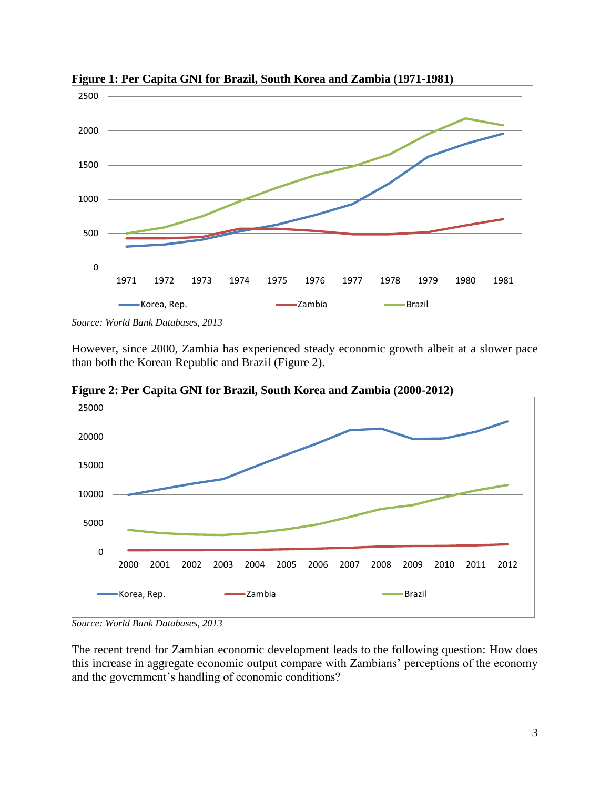

**Figure 1: Per Capita GNI for Brazil, South Korea and Zambia (1971-1981)**

However, since 2000, Zambia has experienced steady economic growth albeit at a slower pace than both the Korean Republic and Brazil (Figure 2).



**Figure 2: Per Capita GNI for Brazil, South Korea and Zambia (2000-2012)**

The recent trend for Zambian economic development leads to the following question: How does this increase in aggregate economic output compare with Zambians' perceptions of the economy and the government's handling of economic conditions?

*Source: World Bank Databases, 2013*

*Source: World Bank Databases, 2013*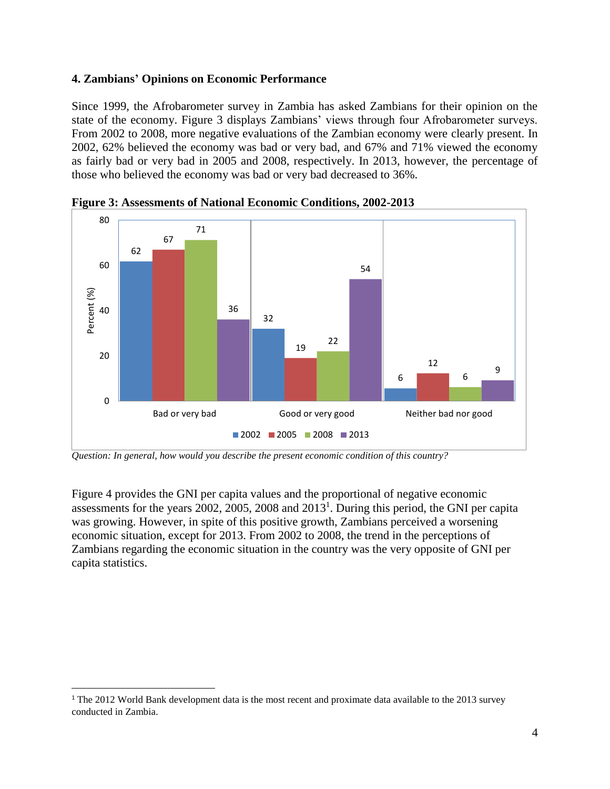## **4. Zambians' Opinions on Economic Performance**

Since 1999, the Afrobarometer survey in Zambia has asked Zambians for their opinion on the state of the economy. Figure 3 displays Zambians' views through four Afrobarometer surveys. From 2002 to 2008, more negative evaluations of the Zambian economy were clearly present. In 2002, 62% believed the economy was bad or very bad, and 67% and 71% viewed the economy as fairly bad or very bad in 2005 and 2008, respectively. In 2013, however, the percentage of those who believed the economy was bad or very bad decreased to 36%.



**Figure 3: Assessments of National Economic Conditions, 2002-2013**

*Question: In general, how would you describe the present economic condition of this country?*

Figure 4 provides the GNI per capita values and the proportional of negative economic assessments for the years 2002, 2005, 2008 and 2013<sup>1</sup>. During this period, the GNI per capita was growing. However, in spite of this positive growth, Zambians perceived a worsening economic situation, except for 2013. From 2002 to 2008, the trend in the perceptions of Zambians regarding the economic situation in the country was the very opposite of GNI per capita statistics.

l

<sup>&</sup>lt;sup>1</sup> The 2012 World Bank development data is the most recent and proximate data available to the 2013 survey conducted in Zambia.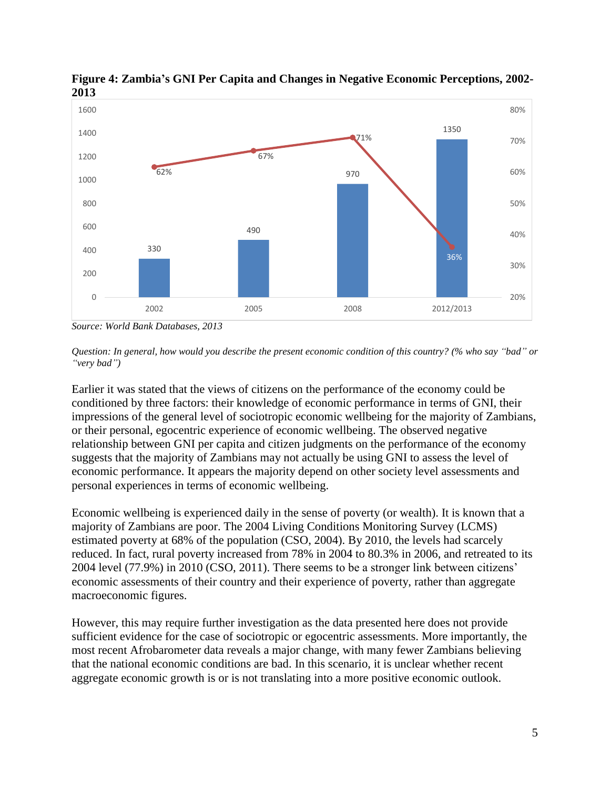

**Figure 4: Zambia's GNI Per Capita and Changes in Negative Economic Perceptions, 2002- 2013**

*Source: World Bank Databases, 2013*

Earlier it was stated that the views of citizens on the performance of the economy could be conditioned by three factors: their knowledge of economic performance in terms of GNI, their impressions of the general level of sociotropic economic wellbeing for the majority of Zambians, or their personal, egocentric experience of economic wellbeing. The observed negative relationship between GNI per capita and citizen judgments on the performance of the economy suggests that the majority of Zambians may not actually be using GNI to assess the level of economic performance. It appears the majority depend on other society level assessments and personal experiences in terms of economic wellbeing.

Economic wellbeing is experienced daily in the sense of poverty (or wealth). It is known that a majority of Zambians are poor. The 2004 Living Conditions Monitoring Survey (LCMS) estimated poverty at 68% of the population (CSO, 2004). By 2010, the levels had scarcely reduced. In fact, rural poverty increased from 78% in 2004 to 80.3% in 2006, and retreated to its 2004 level (77.9%) in 2010 (CSO, 2011). There seems to be a stronger link between citizens' economic assessments of their country and their experience of poverty, rather than aggregate macroeconomic figures.

However, this may require further investigation as the data presented here does not provide sufficient evidence for the case of sociotropic or egocentric assessments. More importantly, the most recent Afrobarometer data reveals a major change, with many fewer Zambians believing that the national economic conditions are bad. In this scenario, it is unclear whether recent aggregate economic growth is or is not translating into a more positive economic outlook.

*Question: In general, how would you describe the present economic condition of this country? (% who say "bad" or "very bad")*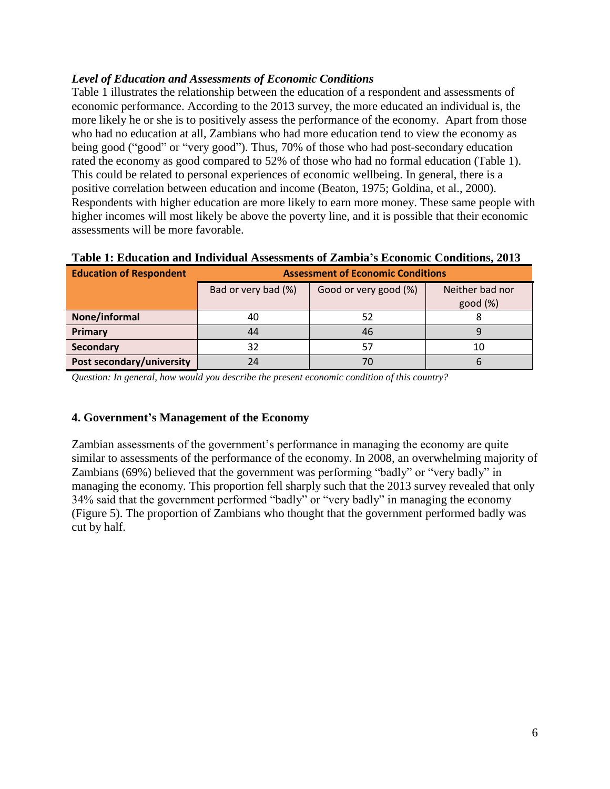## *Level of Education and Assessments of Economic Conditions*

Table 1 illustrates the relationship between the education of a respondent and assessments of economic performance. According to the 2013 survey, the more educated an individual is, the more likely he or she is to positively assess the performance of the economy. Apart from those who had no education at all, Zambians who had more education tend to view the economy as being good ("good" or "very good"). Thus, 70% of those who had post-secondary education rated the economy as good compared to 52% of those who had no formal education (Table 1). This could be related to personal experiences of economic wellbeing. In general, there is a positive correlation between education and income (Beaton, 1975; Goldina, et al., 2000). Respondents with higher education are more likely to earn more money. These same people with higher incomes will most likely be above the poverty line, and it is possible that their economic assessments will be more favorable.

| <b>Education of Respondent</b> | <b>Assessment of Economic Conditions</b> |                       |                            |
|--------------------------------|------------------------------------------|-----------------------|----------------------------|
|                                | Bad or very bad (%)                      | Good or very good (%) | Neither bad nor<br>good(%) |
| None/informal                  | 40                                       | 52                    |                            |
| Primary                        | 44                                       | 46                    |                            |
| <b>Secondary</b>               | 32                                       | 57                    | 10                         |
| Post secondary/university      | 24                                       | 70                    |                            |

# **Table 1: Education and Individual Assessments of Zambia's Economic Conditions, 2013**

*Question: In general, how would you describe the present economic condition of this country?*

## **4. Government's Management of the Economy**

Zambian assessments of the government's performance in managing the economy are quite similar to assessments of the performance of the economy. In 2008, an overwhelming majority of Zambians (69%) believed that the government was performing "badly" or "very badly" in managing the economy. This proportion fell sharply such that the 2013 survey revealed that only 34% said that the government performed "badly" or "very badly" in managing the economy (Figure 5). The proportion of Zambians who thought that the government performed badly was cut by half.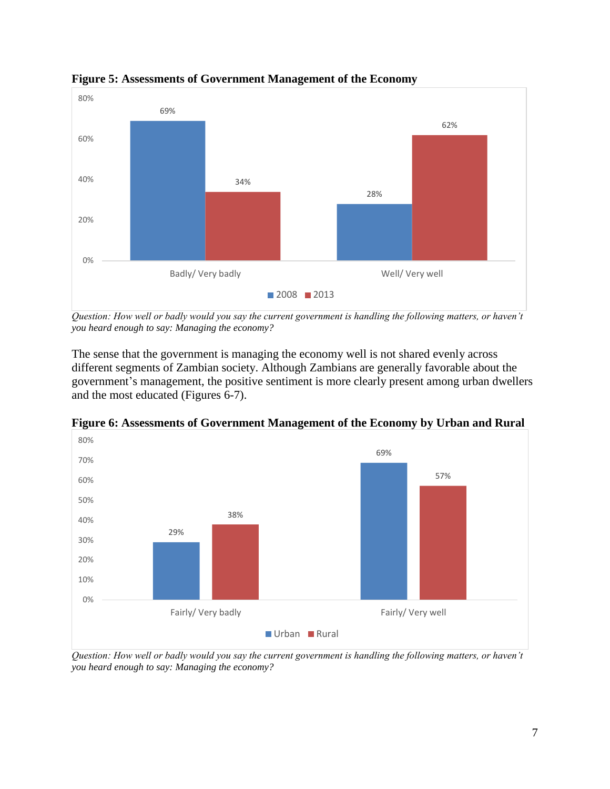

**Figure 5: Assessments of Government Management of the Economy**

*Question: How well or badly would you say the current government is handling the following matters, or haven't you heard enough to say: Managing the economy?*

The sense that the government is managing the economy well is not shared evenly across different segments of Zambian society. Although Zambians are generally favorable about the government's management, the positive sentiment is more clearly present among urban dwellers and the most educated (Figures 6-7).



**Figure 6: Assessments of Government Management of the Economy by Urban and Rural**

*Question: How well or badly would you say the current government is handling the following matters, or haven't you heard enough to say: Managing the economy?*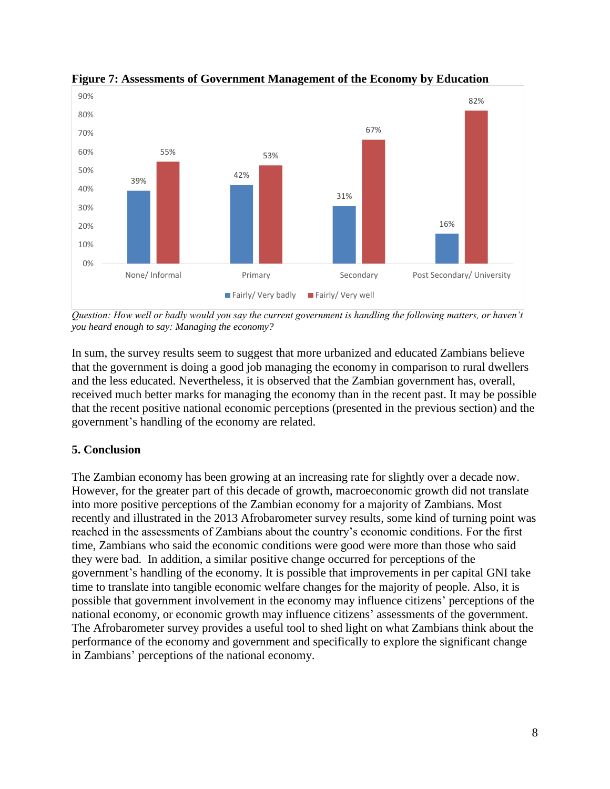

**Figure 7: Assessments of Government Management of the Economy by Education**

*Question: How well or badly would you say the current government is handling the following matters, or haven't you heard enough to say: Managing the economy?*

In sum, the survey results seem to suggest that more urbanized and educated Zambians believe that the government is doing a good job managing the economy in comparison to rural dwellers and the less educated. Nevertheless, it is observed that the Zambian government has, overall, received much better marks for managing the economy than in the recent past. It may be possible that the recent positive national economic perceptions (presented in the previous section) and the government's handling of the economy are related.

# **5. Conclusion**

The Zambian economy has been growing at an increasing rate for slightly over a decade now. However, for the greater part of this decade of growth, macroeconomic growth did not translate into more positive perceptions of the Zambian economy for a majority of Zambians. Most recently and illustrated in the 2013 Afrobarometer survey results, some kind of turning point was reached in the assessments of Zambians about the country's economic conditions. For the first time, Zambians who said the economic conditions were good were more than those who said they were bad. In addition, a similar positive change occurred for perceptions of the government's handling of the economy. It is possible that improvements in per capital GNI take time to translate into tangible economic welfare changes for the majority of people. Also, it is possible that government involvement in the economy may influence citizens' perceptions of the national economy, or economic growth may influence citizens' assessments of the government. The Afrobarometer survey provides a useful tool to shed light on what Zambians think about the performance of the economy and government and specifically to explore the significant change in Zambians' perceptions of the national economy.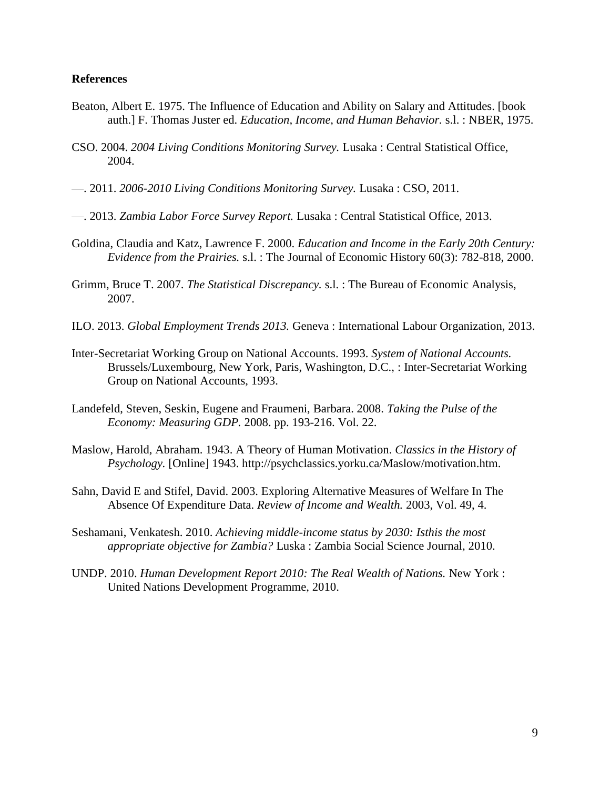#### **References**

- Beaton, Albert E. 1975. The Influence of Education and Ability on Salary and Attitudes. [book auth.] F. Thomas Juster ed. *Education, Income, and Human Behavior.* s.l. : NBER, 1975.
- CSO. 2004. *2004 Living Conditions Monitoring Survey.* Lusaka : Central Statistical Office, 2004.
- —. 2011. *2006-2010 Living Conditions Monitoring Survey.* Lusaka : CSO, 2011.
- —. 2013. *Zambia Labor Force Survey Report.* Lusaka : Central Statistical Office, 2013.
- Goldina, Claudia and Katz, Lawrence F. 2000. *Education and Income in the Early 20th Century: Evidence from the Prairies.* s.l. : The Journal of Economic History 60(3): 782-818, 2000.
- Grimm, Bruce T. 2007. *The Statistical Discrepancy.* s.l. : The Bureau of Economic Analysis, 2007.
- ILO. 2013. *Global Employment Trends 2013.* Geneva : International Labour Organization, 2013.
- Inter-Secretariat Working Group on National Accounts. 1993. *System of National Accounts.*  Brussels/Luxembourg, New York, Paris, Washington, D.C., : Inter-Secretariat Working Group on National Accounts, 1993.
- Landefeld, Steven, Seskin, Eugene and Fraumeni, Barbara. 2008. *Taking the Pulse of the Economy: Measuring GDP.* 2008. pp. 193-216. Vol. 22.
- Maslow, Harold, Abraham. 1943. A Theory of Human Motivation. *Classics in the History of Psychology.* [Online] 1943. http://psychclassics.yorku.ca/Maslow/motivation.htm.
- Sahn, David E and Stifel, David. 2003. Exploring Alternative Measures of Welfare In The Absence Of Expenditure Data. *Review of Income and Wealth.* 2003, Vol. 49, 4.
- Seshamani, Venkatesh. 2010. *Achieving middle-income status by 2030: Isthis the most appropriate objective for Zambia?* Luska : Zambia Social Science Journal, 2010.
- UNDP. 2010. *Human Development Report 2010: The Real Wealth of Nations.* New York : United Nations Development Programme, 2010.